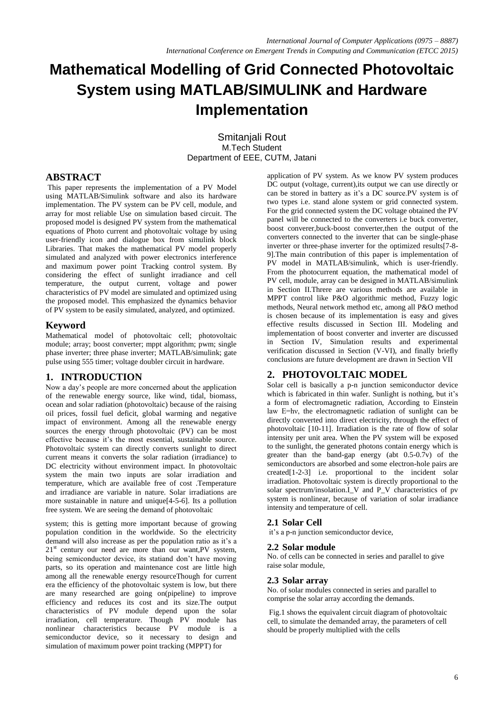# **Mathematical Modelling of Grid Connected Photovoltaic System using MATLAB/SIMULINK and Hardware Implementation**

Smitanjali Rout M.Tech Student Department of EEE, CUTM, Jatani

# **ABSTRACT**

This paper represents the implementation of a PV Model using MATLAB/Simulink software and also its hardware implementation. The PV system can be PV cell, module, and array for most reliable Use on simulation based circuit. The proposed model is designed PV system from the mathematical equations of Photo current and photovoltaic voltage by using user-friendly icon and dialogue box from simulink block Libraries. That makes the mathematical PV model properly simulated and analyzed with power electronics interference and maximum power point Tracking control system. By considering the effect of sunlight irradiance and cell temperature, the output current, voltage and power characteristics of PV model are simulated and optimized using the proposed model. This emphasized the dynamics behavior of PV system to be easily simulated, analyzed, and optimized.

# **Keyword**

Mathematical model of photovoltaic cell; photovoltaic module; array; boost converter; mppt algorithm; pwm; single phase inverter; three phase inverter; MATLAB/simulink; gate pulse using 555 timer; voltage doubler circuit in hardware.

# **1. INTRODUCTION**

Now a day's people are more concerned about the application of the renewable energy source, like wind, tidal, biomass, ocean and solar radiation (photovoltaic) because of the raising oil prices, fossil fuel deficit, global warming and negative impact of environment. Among all the renewable energy sources the energy through photovoltaic (PV) can be most effective because it's the most essential, sustainable source. Photovoltaic system can directly converts sunlight to direct current means it converts the solar radiation (irradiance) to DC electricity without environment impact. In photovoltaic system the main two inputs are solar irradiation and temperature, which are available free of cost .Temperature and irradiance are variable in nature. Solar irradiations are more sustainable in nature and unique[4-5-6]. Its a pollution free system. We are seeing the demand of photovoltaic

system; this is getting more important because of growing population condition in the worldwide. So the electricity demand will also increase as per the population ratio as it's a  $21<sup>st</sup>$  century our need are more than our want, PV system, being semiconductor device, its statiand don't have moving parts, so its operation and maintenance cost are little high among all the renewable energy resourceThough for current era the efficiency of the photovoltaic system is low, but there are many researched are going on(pipeline) to improve efficiency and reduces its cost and its size.The output characteristics of PV module depend upon the solar irradiation, cell temperature. Though PV module has nonlinear characteristics because PV module is a semiconductor device, so it necessary to design and simulation of maximum power point tracking (MPPT) for

application of PV system. As we know PV system produces DC output (voltage, current),its output we can use directly or can be stored in battery as it's a DC source.PV system is of two types i.e. stand alone system or grid connected system. For the grid connected system the DC voltage obtained the PV panel will be connected to the converters i.e buck converter, boost converer,buck-boost converter,then the output of the converters connected to the inverter that can be single-phase inverter or three-phase inverter for the optimized results[7-8- 9].The main contribution of this paper is implementation of PV model in MATLAB/simulink, which is user-friendly. From the photocurrent equation, the mathematical model of PV cell, module, array can be designed in MATLAB/simulink in Section II.Threre are various methods are available in MPPT control like P&O algorithmic method, Fuzzy logic methods, Neural network method etc, among all P&O method is chosen because of its implementation is easy and gives effective results discussed in Section III. Modeling and implementation of boost converter and inverter are discussed in Section IV, Simulation results and experimental verification discussed in Section (V-VI), and finally briefly conclusions are future development are drawn in Section VII

# **2. PHOTOVOLTAIC MODEL**

Solar cell is basically a p-n junction semiconductor device which is fabricated in thin wafer. Sunlight is nothing, but it's a form of electromagnetic radiation, According to Einstein law E=hν, the electromagnetic radiation of sunlight can be directly converted into direct electricity, through the effect of photovoltaic [10-11]. Irradiation is the rate of flow of solar intensity per unit area. When the PV system will be exposed to the sunlight, the generated photons contain energy which is greater than the band-gap energy (abt 0.5-0.7v) of the semiconductors are absorbed and some electron-hole pairs are created[1-2-3] i.e. proportional to the incident solar irradiation. Photovoltaic system is directly proportional to the solar spectrum/insolation.I\_V and P\_V characteristics of pv system is nonlinear, because of variation of solar irradiance intensity and temperature of cell.

## **2.1 Solar Cell**

it's a p-n junction semiconductor device,

#### **2.2 Solar module**

No. of cells can be connected in series and parallel to give raise solar module,

#### **2.3 Solar array**

No. of solar modules connected in series and parallel to comprise the solar array according the demands.

Fig.1 shows the equivalent circuit diagram of photovoltaic cell, to simulate the demanded array, the parameters of cell should be properly multiplied with the cells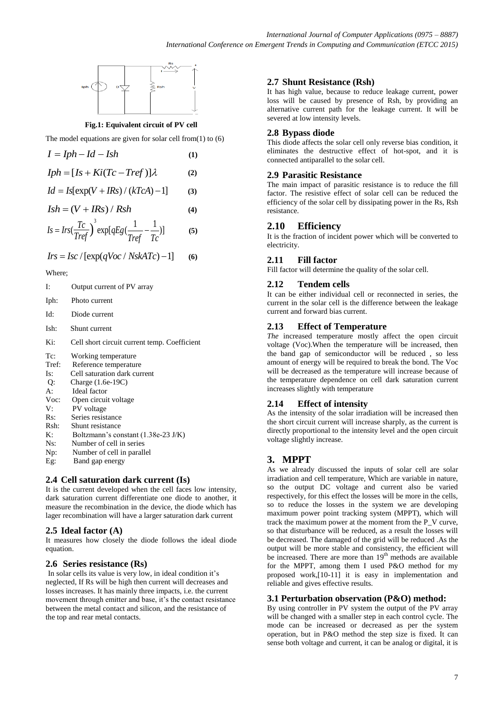

## **Fig.1: Equivalent circuit of PV cell**

The model equations are given for solar cell from $(1)$  to  $(6)$ 

| $I = Iph - Id - Ish$                 | (1) |
|--------------------------------------|-----|
| $Iph = [Is + Ki(Tc - Tref)]\lambda$  | (2) |
| $Id = Is[exp(V + IRs) / (kTcA) - 1]$ | (3) |
| $Ish = (V + IRs) / Rsh$              | (4) |
|                                      |     |

$$
Is = Ins(\frac{Tc}{Tref})^3 \exp[qEg(\frac{1}{Tref} - \frac{1}{Tc})]
$$
 (5)

$$
Irs = Isc / [exp(qVoc / NskATc) - 1]
$$
 (6)

Where;

- I: Output current of PV array
- Iph: Photo current
- Id: Diode current
- Ish: Shunt current
- Ki: Cell short circuit current temp. Coefficient

Tc: Working temperature

- Tref: Reference temperature
- Is: Cell saturation dark current
- Q: Charge (1.6e-19C)
- A: Ideal factor
- Voc: Open circuit voltage V: PV voltage
- Rs: Series resistance
- Rsh: Shunt resistance
- K: Boltzmann's constant (1.38e-23 J/K)
- Ns: Number of cell in series
- Np: Number of cell in parallel
- Eg: Band gap energy

## **2.4 Cell saturation dark current (Is)**

It is the current developed when the cell faces low intensity, dark saturation current differentiate one diode to another, it measure the recombination in the device, the diode which has lager recombination will have a larger saturation dark current

## **2.5 Ideal factor (A)**

It measures how closely the diode follows the ideal diode equation.

#### **2.6 Series resistance (Rs)**

In solar cells its value is very low, in ideal condition it's neglected, If Rs will be high then current will decreases and losses increases. It has mainly three impacts, i.e. the current movement through emitter and base, it's the contact resistance between the metal contact and silicon, and the resistance of the top and rear metal contacts.

## **2.7 Shunt Resistance (Rsh)**

It has high value, because to reduce leakage current, power loss will be caused by presence of Rsh, by providing an alternative current path for the leakage current. It will be severed at low intensity levels.

## **2.8 Bypass diode**

This diode affects the solar cell only reverse bias condition, it eliminates the destructive effect of hot-spot, and it is connected antiparallel to the solar cell.

## **2.9 Parasitic Resistance**

The main impact of parasitic resistance is to reduce the fill factor. The resistive effect of solar cell can be reduced the efficiency of the solar cell by dissipating power in the Rs, Rsh resistance.

# **2.10 Efficiency**

It is the fraction of incident power which will be converted to electricity.

## **2.11 Fill factor**

Fill factor will determine the quality of the solar cell.

## **2.12 Tendem cells**

It can be either individual cell or reconnected in series, the current in the solar cell is the difference between the leakage current and forward bias current.

## **2.13 Effect of Temperature**

*The* increased temperature mostly affect the open circuit voltage (Voc).When the temperature will be increased, then the band gap of semiconductor will be reduced , so less amount of energy will be required to break the bond. The Voc will be decreased as the temperature will increase because of the temperature dependence on cell dark saturation current increases slightly with temperature

## **2.14 Effect of intensity**

As the intensity of the solar irradiation will be increased then the short circuit current will increase sharply, as the current is directly proportional to the intensity level and the open circuit voltage slightly increase.

# **3. MPPT**

As we already discussed the inputs of solar cell are solar irradiation and cell temperature, Which are variable in nature, so the output DC voltage and current also be varied respectively, for this effect the losses will be more in the cells, so to reduce the losses in the system we are developing maximum power point tracking system (MPPT), which will track the maximum power at the moment from the P\_V curve, so that disturbance will be reduced, as a result the losses will be decreased. The damaged of the grid will be reduced .As the output will be more stable and consistency, the efficient will be increased. There are more than 19<sup>th</sup> methods are available for the MPPT, among them I used P&O method for my proposed work,[10-11] it is easy in implementation and reliable and gives effective results.

## **3.1 Perturbation observation (P&O) method:**

By using controller in PV system the output of the PV array will be changed with a smaller step in each control cycle. The mode can be increased or decreased as per the system operation, but in P&O method the step size is fixed. It can sense both voltage and current, it can be analog or digital, it is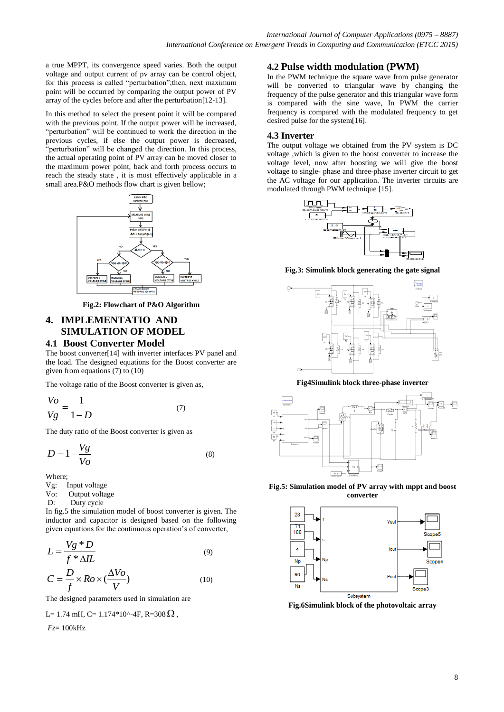a true MPPT, its convergence speed varies. Both the output voltage and output current of pv array can be control object, for this process is called "perturbation";then, next maximum point will be occurred by comparing the output power of PV array of the cycles before and after the perturbation[12-13].

In this method to select the present point it will be compared with the previous point. If the output power will be increased, "perturbation" will be continued to work the direction in the previous cycles, if else the output power is decreased, "perturbation" will be changed the direction. In this process, the actual operating point of PV array can be moved closer to the maximum power point, back and forth process occurs to reach the steady state , it is most effectively applicable in a small area.P&O methods flow chart is given bellow;



**Fig.2: Flowchart of P&O Algorithm**

# **4. IMPLEMENTATIO AND SIMULATION OF MODEL**

## **4.1 Boost Converter Model**

The boost converter[14] with inverter interfaces PV panel and the load. The designed equations for the Boost converter are given from equations (7) to (10)

The voltage ratio of the Boost converter is given as,

$$
\frac{V_o}{Vg} = \frac{1}{1 - D} \tag{7}
$$

The duty ratio of the Boost converter is given as

$$
D = 1 - \frac{Vg}{Vo} \tag{8}
$$

Where;

- Vg: Input voltage
- Vo: Output voltage
- D: Duty cycle

In fig.5 the simulation model of boost converter is given. The inductor and capacitor is designed based on the following given equations for the continuous operation's of converter,

$$
L = \frac{Vg * D}{f * \Delta IL}
$$
 (9)

$$
C = \frac{D}{f} \times Ro \times (\frac{\Delta V o}{V})
$$
 (10)

The designed parameters used in simulation are

$$
L=1.74 \text{ mH}, C=1.174*10^{\circ}4F, R=308 \Omega,
$$

*Fz*= 100kHz

# **4.2 Pulse width modulation (PWM)**

In the PWM technique the square wave from pulse generator will be converted to triangular wave by changing the frequency of the pulse generator and this triangular wave form is compared with the sine wave, In PWM the carrier frequency is compared with the modulated frequency to get desired pulse for the system[16].

## **4.3 Inverter**

The output voltage we obtained from the PV system is DC voltage ,which is given to the boost converter to increase the voltage level, now after boosting we will give the boost voltage to single- phase and three-phase inverter circuit to get the AC voltage for our application. The inverter circuits are modulated through PWM technique [15].



**Fig.3: Simulink block generating the gate signal**



**Fig4Simulink block three-phase inverter**



**Fig.5: Simulation model of PV array with mppt and boost converter**



**Fig.6Simulink block of the photovoltaic array**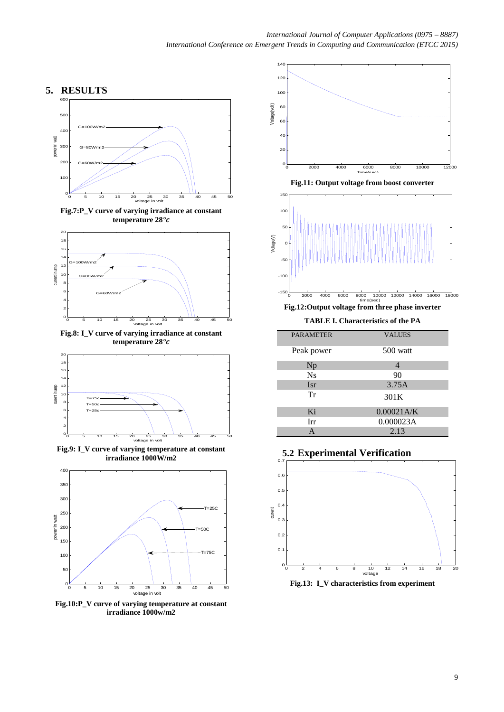

**Fig.7:P\_V curve of varying irradiance at constant temperature 28***°*



**Fig.8: I\_V curve of varying irradiance at constant temperature 28***°*



**Fig.9: I\_V curve of varying temperature at constant irradiance 1000W/m2**



**Fig.10:P\_V curve of varying temperature at constant irradiance 1000w/m2**



**Fig.11: Output voltage from boost converter**



**Fig.12:Output voltage from three phase inverter**

**TABLE I. Characteristics of the PA** 

| <b>PARAMETER</b> | <b>VALUES</b>  |
|------------------|----------------|
| Peak power       | 500 watt       |
| Np               | $\overline{4}$ |
| <b>Ns</b>        | 90             |
| <b>Isr</b>       | 3.75A          |
| Tr               | 301K           |
| Ki               | 0.00021A/K     |
| Irr              | 0.000023A      |
| A                | 2.13           |

**5.2 Experimental Verification**



**Fig.13: I\_V characteristics from experiment**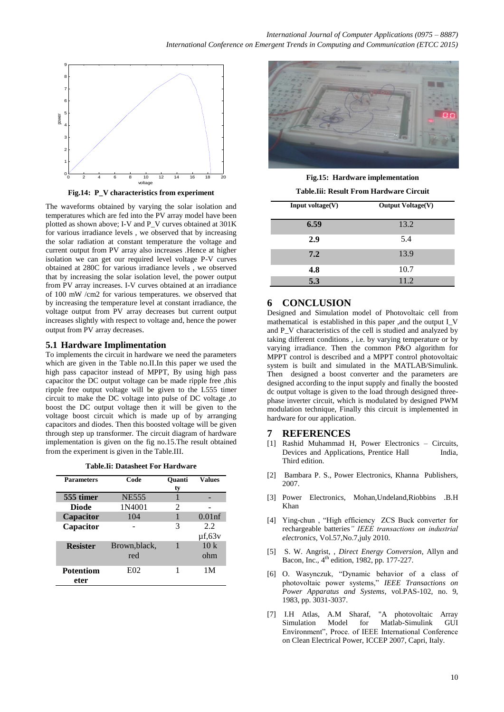

**Fig.14: P\_V characteristics from experiment**

The waveforms obtained by varying the solar isolation and temperatures which are fed into the PV array model have been plotted as shown above; I-V and P\_V curves obtained at 301K for various irradiance levels , we observed that by increasing the solar radiation at constant temperature the voltage and current output from PV array also increases .Hence at higher isolation we can get our required level voltage P-V curves obtained at 280C for various irradiance levels , we observed that by increasing the solar isolation level, the power output from PV array increases. I-V curves obtained at an irradiance of 100 mW /cm2 for various temperatures. we observed that by increasing the temperature level at constant irradiance, the voltage output from PV array decreases but current output increases slightly with respect to voltage and, hence the power output from PV array decreases.

#### **5.1 Hardware Implimentation**

To implements the circuit in hardware we need the parameters which are given in the Table no.II.In this paper we used the high pass capacitor instead of MPPT, By using high pass capacitor the DC output voltage can be made ripple free ,this ripple free output voltage will be given to the L555 timer circuit to make the DC voltage into pulse of DC voltage ,to boost the DC output voltage then it will be given to the voltage boost circuit which is made up of by arranging capacitors and diodes. Then this boosted voltage will be given through step up transformer. The circuit diagram of hardware implementation is given on the fig no.15.The result obtained from the experiment is given in the Table.III.

| <b>Parameters</b>        | Code                 | <b>Ouanti</b><br>ty         | <b>Values</b>      |
|--------------------------|----------------------|-----------------------------|--------------------|
| 555 timer                | <b>NE555</b>         |                             |                    |
| <b>Diode</b>             | 1N4001               | $\mathcal{D}_{\mathcal{L}}$ |                    |
| Capacitor                | 104                  |                             | $0.01$ nf          |
| Capacitor                |                      | 3                           | 2.2<br>$\mu$ f,63v |
| <b>Resister</b>          | Brown, black,<br>red |                             | 10k<br>ohm         |
| <b>Potentiom</b><br>eter | E02                  |                             | 1 M                |



**Fig.15: Hardware implementation**

| Table.Iii: Result From Hardware Circuit |  |
|-----------------------------------------|--|
|-----------------------------------------|--|

| Input voltage $(V)$ | <b>Output Voltage(V)</b> |
|---------------------|--------------------------|
| 6.59                | 13.2                     |
| 2.9                 | 5.4                      |
| 7.2                 | 13.9                     |
| 4.8                 | 10.7                     |
| 5.3                 | 11.2                     |

## **6 CONCLUSION**

Designed and Simulation model of Photovoltaic cell from mathematical is established in this paper ,and the output I\_V and P<sub>V</sub> characteristics of the cell is studied and analyzed by taking different conditions , i.e. by varying temperature or by varying irradiance. Then the common P&O algorithm for MPPT control is described and a MPPT control photovoltaic system is built and simulated in the MATLAB/Simulink. Then designed a boost converter and the parameters are designed according to the input supply and finally the boosted dc output voltage is given to the load through designed threephase inverter circuit, which is modulated by designed PWM modulation technique, Finally this circuit is implemented in hardware for our application.

#### **7 REFERENCES**

- [1] Rashid Muhammad H, Power Electronics Circuits, Devices and Applications, Prentice Hall India, Third edition.
- [2] Bambara P. S., Power Electronics, Khanna Publishers, 2007.
- [3] Power Electronics, Mohan,Undeland,Riobbins .B.H Khan
- [4] Ying-chun , "High efficiency ZCS Buck converter for rechargeable batteries*" IEEE transactions on industrial electronics*, Vol.57,No.7,july 2010.
- [5] S. W. Angrist, , *Direct Energy Conversion*, Allyn and Bacon, Inc.,  $4<sup>th</sup>$  edition, 1982, pp. 177-227.
- [6] O. Wasynczuk, "Dynamic behavior of a class of photovoltaic power systems," *IEEE Transactions on Power Apparatus and Systems*, vol.PAS-102, no. 9, 1983, pp. 3031-3037.
- [7] I.H Atlas, A.M Sharaf, "A photovoltaic Array Simulation Model for Matlab-Simulink GUI Environment", Proce. of IEEE International Conference on Clean Electrical Power, ICCEP 2007, Capri, Italy.